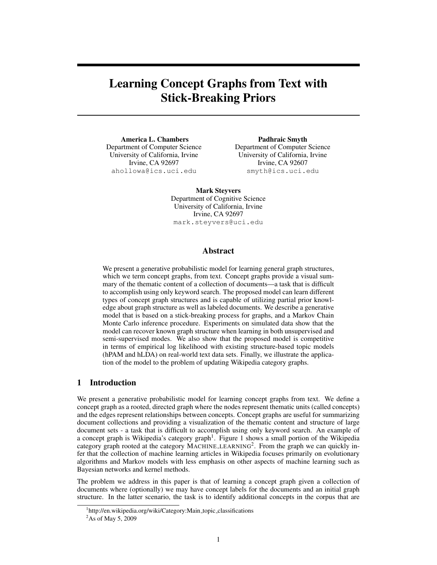# Learning Concept Graphs from Text with Stick-Breaking Priors

America L. Chambers Department of Computer Science University of California, Irvine Irvine, CA 92697 ahollowa@ics.uci.edu

Padhraic Smyth Department of Computer Science University of California, Irvine Irvine, CA 92607 smyth@ics.uci.edu

Mark Steyvers

Department of Cognitive Science University of California, Irvine Irvine, CA 92697 mark.steyvers@uci.edu

## Abstract

We present a generative probabilistic model for learning general graph structures, which we term concept graphs, from text. Concept graphs provide a visual summary of the thematic content of a collection of documents—a task that is difficult to accomplish using only keyword search. The proposed model can learn different types of concept graph structures and is capable of utilizing partial prior knowledge about graph structure as well as labeled documents. We describe a generative model that is based on a stick-breaking process for graphs, and a Markov Chain Monte Carlo inference procedure. Experiments on simulated data show that the model can recover known graph structure when learning in both unsupervised and semi-supervised modes. We also show that the proposed model is competitive in terms of empirical log likelihood with existing structure-based topic models (hPAM and hLDA) on real-world text data sets. Finally, we illustrate the application of the model to the problem of updating Wikipedia category graphs.

## 1 Introduction

We present a generative probabilistic model for learning concept graphs from text. We define a concept graph as a rooted, directed graph where the nodes represent thematic units (called concepts) and the edges represent relationships between concepts. Concept graphs are useful for summarizing document collections and providing a visualization of the thematic content and structure of large document sets - a task that is difficult to accomplish using only keyword search. An example of a concept graph is Wikipedia's category graph<sup>1</sup>. Figure 1 shows a small portion of the Wikipedia category graph rooted at the category MACHINE LEARNING<sup>2</sup>. From the graph we can quickly infer that the collection of machine learning articles in Wikipedia focuses primarily on evolutionary algorithms and Markov models with less emphasis on other aspects of machine learning such as Bayesian networks and kernel methods.

The problem we address in this paper is that of learning a concept graph given a collection of documents where (optionally) we may have concept labels for the documents and an initial graph structure. In the latter scenario, the task is to identify additional concepts in the corpus that are

<sup>&</sup>lt;sup>1</sup>http://en.wikipedia.org/wiki/Category:Main\_topic\_classifications

<sup>2</sup>As of May 5, 2009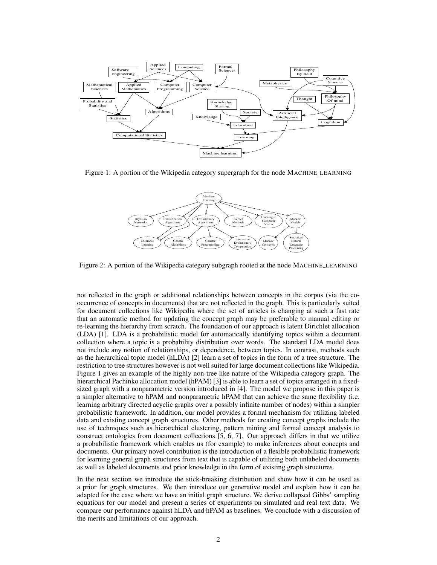

Figure 1: A portion of the Wikipedia category supergraph for the node MACHINE LEARNING



Figure 2: A portion of the Wikipedia category subgraph rooted at the node MACHINE LEARNING

not reflected in the graph or additional relationships between concepts in the corpus (via the cooccurrence of concepts in documents) that are not reflected in the graph. This is particularly suited for document collections like Wikipedia where the set of articles is changing at such a fast rate that an automatic method for updating the concept graph may be preferable to manual editing or re-learning the hierarchy from scratch. The foundation of our approach is latent Dirichlet allocation (LDA) [1]. LDA is a probabilistic model for automatically identifying topics within a document collection where a topic is a probability distribution over words. The standard LDA model does not include any notion of relationships, or dependence, between topics. In contrast, methods such as the hierarchical topic model (hLDA) [2] learn a set of topics in the form of a tree structure. The restriction to tree structures however is not well suited for large document collections like Wikipedia. Figure 1 gives an example of the highly non-tree like nature of the Wikipedia category graph. The hierarchical Pachinko allocation model (hPAM) [3] is able to learn a set of topics arranged in a fixedsized graph with a nonparametric version introduced in [4]. The model we propose in this paper is a simpler alternative to hPAM and nonparametric hPAM that can achieve the same flexibility (i.e. learning arbitrary directed acyclic graphs over a possibly infinite number of nodes) within a simpler probabilistic framework. In addition, our model provides a formal mechanism for utilizing labeled data and existing concept graph structures. Other methods for creating concept graphs include the use of techniques such as hierarchical clustering, pattern mining and formal concept analysis to construct ontologies from document collections [5, 6, 7]. Our approach differs in that we utilize a probabilistic framework which enables us (for example) to make inferences about concepts and documents. Our primary novel contribution is the introduction of a flexible probabilistic framework for learning general graph structures from text that is capable of utilizing both unlabeled documents as well as labeled documents and prior knowledge in the form of existing graph structures.

In the next section we introduce the stick-breaking distribution and show how it can be used as a prior for graph structures. We then introduce our generative model and explain how it can be adapted for the case where we have an initial graph structure. We derive collapsed Gibbs' sampling equations for our model and present a series of experiments on simulated and real text data. We compare our performance against hLDA and hPAM as baselines. We conclude with a discussion of the merits and limitations of our approach.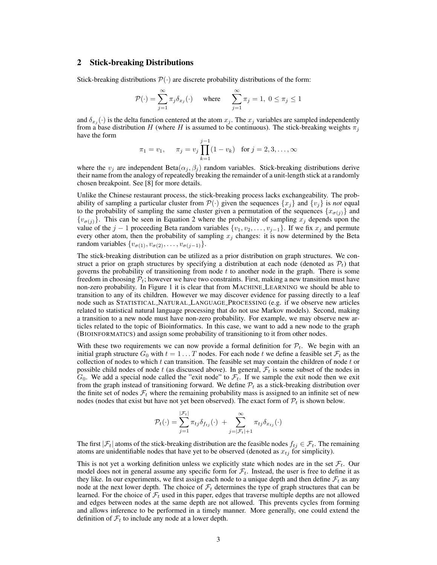## 2 Stick-breaking Distributions

Stick-breaking distributions  $\mathcal{P}(\cdot)$  are discrete probability distributions of the form:

$$
\mathcal{P}(\cdot) = \sum_{j=1}^{\infty} \pi_j \delta_{x_j}(\cdot) \quad \text{where} \quad \sum_{j=1}^{\infty} \pi_j = 1, \ 0 \le \pi_j \le 1
$$

and  $\delta_{x_j}(\cdot)$  is the delta function centered at the atom  $x_j$ . The  $x_j$  variables are sampled independently from a base distribution H (where H is assumed to be continuous). The stick-breaking weights  $\pi_i$ have the form

$$
\pi_1 = v_1
$$
,  $\pi_j = v_j \prod_{k=1}^{j-1} (1 - v_k)$  for  $j = 2, 3, ..., \infty$ 

where the  $v_j$  are independent Beta $(\alpha_j, \beta_j)$  random variables. Stick-breaking distributions derive their name from the analogy of repeatedly breaking the remainder of a unit-length stick at a randomly chosen breakpoint. See [8] for more details.

Unlike the Chinese restaurant process, the stick-breaking process lacks exchangeability. The probability of sampling a particular cluster from  $\mathcal{P}(\cdot)$  given the sequences  $\{x_i\}$  and  $\{v_i\}$  is *not* equal to the probability of sampling the same cluster given a permutation of the sequences  $\{x_{\sigma(j)}\}$  and  ${v_{\sigma(j)}}$ . This can be seen in Equation 2 where the probability of sampling  $x_j$  depends upon the value of the j − 1 proceeding Beta random variables  $\{v_1, v_2, \ldots, v_{j-1}\}$ . If we fix  $x_j$  and permute every other atom, then the probability of sampling  $x_j$  changes: it is now determined by the Beta random variables  $\{v_{\sigma(1)}, v_{\sigma(2)}, \ldots, v_{\sigma(j-1)}\}.$ 

The stick-breaking distribution can be utilized as a prior distribution on graph structures. We construct a prior on graph structures by specifying a distribution at each node (denoted as  $\mathcal{P}_t$ ) that governs the probability of transitioning from node  $t$  to another node in the graph. There is some freedom in choosing  $\mathcal{P}_t$ ; however we have two constraints. First, making a new transition must have non-zero probability. In Figure 1 it is clear that from MACHINE LEARNING we should be able to transition to any of its children. However we may discover evidence for passing directly to a leaf node such as STATISTICAL NATURAL LANGUAGE PROCESSING (e.g. if we observe new articles related to statistical natural language processing that do not use Markov models). Second, making a transition to a new node must have non-zero probability. For example, we may observe new articles related to the topic of Bioinformatics. In this case, we want to add a new node to the graph (BIOINFORMATICS) and assign some probability of transitioning to it from other nodes.

With these two requirements we can now provide a formal definition for  $\mathcal{P}_t$ . We begin with an initial graph structure  $G_0$  with  $t = 1 \dots T$  nodes. For each node t we define a feasible set  $\mathcal{F}_t$  as the collection of nodes to which  $t$  can transition. The feasible set may contain the children of node  $t$  or possible child nodes of node t (as discussed above). In general,  $\mathcal{F}_t$  is some subset of the nodes in  $G_0$ . We add a special node called the "exit node" to  $\mathcal{F}_t$ . If we sample the exit node then we exit from the graph instead of transitioning forward. We define  $P_t$  as a stick-breaking distribution over the finite set of nodes  $\mathcal{F}_t$  where the remaining probability mass is assigned to an infinite set of new nodes (nodes that exist but have not yet been observed). The exact form of  $\mathcal{P}_t$  is shown below.

$$
\mathcal{P}_t(\cdot) = \sum_{j=1}^{|\mathcal{F}_t|} \pi_{tj} \delta_{f_{tj}}(\cdot) + \sum_{j=|\mathcal{F}_t|+1}^{\infty} \pi_{tj} \delta_{x_{tj}}(\cdot)
$$

The first  $|\mathcal{F}_t|$  atoms of the stick-breaking distribution are the feasible nodes  $f_{tj} \in \mathcal{F}_t$ . The remaining atoms are unidentifiable nodes that have yet to be observed (denoted as  $x_{tj}$  for simplicity).

This is not yet a working definition unless we explicitly state which nodes are in the set  $\mathcal{F}_t$ . Our model does not in general assume any specific form for  $\mathcal{F}_t$ . Instead, the user is free to define it as they like. In our experiments, we first assign each node to a unique depth and then define  $\mathcal{F}_t$  as any node at the next lower depth. The choice of  $\mathcal{F}_t$  determines the type of graph structures that can be learned. For the choice of  $\mathcal{F}_t$  used in this paper, edges that traverse multiple depths are not allowed and edges between nodes at the same depth are not allowed. This prevents cycles from forming and allows inference to be performed in a timely manner. More generally, one could extend the definition of  $\mathcal{F}_t$  to include any node at a lower depth.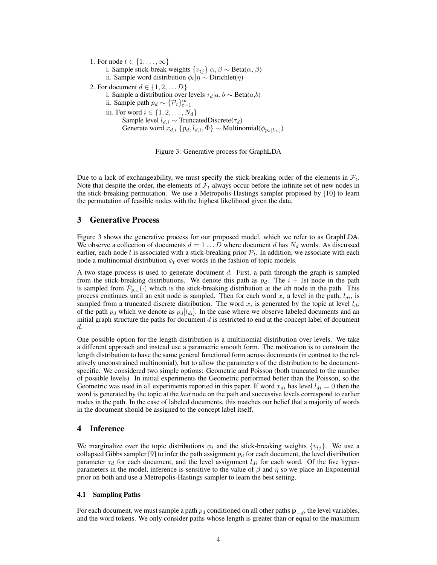1. For node  $t \in \{1, \ldots, \infty\}$ i. Sample stick-break weights  $\{v_{tj}\}|\alpha, \beta \sim \text{Beta}(\alpha, \beta)$ ii. Sample word distribution  $\phi_t|\eta \sim \text{Dirichlet}(\eta)$ 2. For document  $d \in \{1, 2, \dots D\}$ i. Sample a distribution over levels  $\tau_d|a, b \sim \text{Beta}(a, b)$ ii. Sample path  $p_d \sim \{P_t\}_{t=1}^{\infty}$ iii. For word  $i \in \{1, 2, \ldots, N_d\}$ Sample level  $l_{d,i} \sim \text{TruncatedDiscrete}(\tau_d)$ Generate word  $x_{d,i}|\{p_d, l_{d,i}, \Phi\} \sim \text{Multinomial}(\phi_{p_d[l_{di}]} )$ 

Figure 3: Generative process for GraphLDA

Due to a lack of exchangeability, we must specify the stick-breaking order of the elements in  $\mathcal{F}_t$ . Note that despite the order, the elements of  $\mathcal{F}_t$  always occur before the infinite set of new nodes in the stick-breaking permutation. We use a Metropolis-Hastings sampler proposed by [10] to learn the permutation of feasible nodes with the highest likelihood given the data.

## 3 Generative Process

Figure 3 shows the generative process for our proposed model, which we refer to as GraphLDA. We observe a collection of documents  $d = 1 \dots D$  where document d has  $N_d$  words. As discussed earlier, each node t is associated with a stick-breaking prior  $\mathcal{P}_t$ . In addition, we associate with each node a multinomial distribution  $\phi_t$  over words in the fashion of topic models.

A two-stage process is used to generate document  $d$ . First, a path through the graph is sampled from the stick-breaking distributions. We denote this path as  $p_d$ . The  $i + 1$ st node in the path is sampled from  $\mathcal{P}_{p_{di}}(\cdot)$  which is the stick-breaking distribution at the *i*th node in the path. This process continues until an exit node is sampled. Then for each word  $x_i$  a level in the path,  $l_{di}$ , is sampled from a truncated discrete distribution. The word  $x_i$  is generated by the topic at level  $l_{di}$ of the path  $p_d$  which we denote as  $p_d$ [ $l_{di}$ ]. In the case where we observe labeled documents and an initial graph structure the paths for document  $d$  is restricted to end at the concept label of document d.

One possible option for the length distribution is a multinomial distribution over levels. We take a different approach and instead use a parametric smooth form. The motivation is to constrain the length distribution to have the same general functional form across documents (in contrast to the relatively unconstrained multinomial), but to allow the parameters of the distribution to be documentspecific. We considered two simple options: Geometric and Poisson (both truncated to the number of possible levels). In initial experiments the Geometric performed better than the Poisson, so the Geometric was used in all experiments reported in this paper. If word  $x_{di}$  has level  $l_{di} = 0$  then the word is generated by the topic at the *last* node on the path and successive levels correspond to earlier nodes in the path. In the case of labeled documents, this matches our belief that a majority of words in the document should be assigned to the concept label itself.

## 4 Inference

We marginalize over the topic distributions  $\phi_t$  and the stick-breaking weights  $\{v_{tj}\}\$ . We use a collapsed Gibbs sampler [9] to infer the path assignment  $p_d$  for each document, the level distribution parameter  $\tau_d$  for each document, and the level assignment  $l_{di}$  for each word. Of the five hyperparameters in the model, inference is sensitive to the value of  $\beta$  and  $\eta$  so we place an Exponential prior on both and use a Metropolis-Hastings sampler to learn the best setting.

#### 4.1 Sampling Paths

For each document, we must sample a path  $p_d$  conditioned on all other paths  $\mathbf{p}_{-d}$ , the level variables, and the word tokens. We only consider paths whose length is greater than or equal to the maximum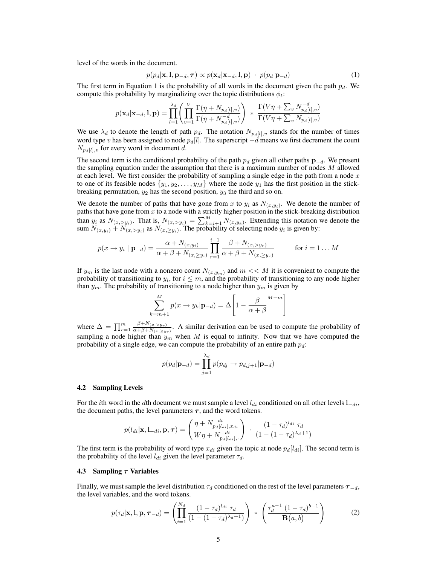level of the words in the document.

$$
p(p_d|\mathbf{x}, \mathbf{l}, \mathbf{p}_{-d}, \boldsymbol{\tau}) \propto p(\mathbf{x}_d|\mathbf{x}_{-d}, \mathbf{l}, \mathbf{p}) \cdot p(p_d|\mathbf{p}_{-d}) \tag{1}
$$

The first term in Equation 1 is the probability of all words in the document given the path  $p_d$ . We compute this probability by marginalizing over the topic distributions  $\phi_t$ :

$$
p(\mathbf{x}_d|\mathbf{x}_{-d}, \mathbf{l}, \mathbf{p}) = \prod_{l=1}^{\lambda_d} \left( \prod_{v=1}^V \frac{\Gamma(\eta + N_{p_d[l], v})}{\Gamma(\eta + N_{p_d[l], v})} \right) \ * \ \frac{\Gamma(V\eta + \sum_v N_{p_d[l], v}^{-d})}{\Gamma(V\eta + \sum_v N_{p_d[l], v})}
$$

We use  $\lambda_d$  to denote the length of path  $p_d$ . The notation  $N_{p_d[i],v}$  stands for the number of times word type v has been assigned to node  $p_d[l]$ . The superscript  $-d$  means we first decrement the count  $N_{p_d[l],v}$  for every word in document d.

The second term is the conditional probability of the path  $p_d$  given all other paths  $p_{-d}$ . We present the sampling equation under the assumption that there is a maximum number of nodes  $M$  allowed at each level. We first consider the probability of sampling a single edge in the path from a node  $x$ to one of its feasible nodes  $\{y_1, y_2, \ldots, y_M\}$  where the node  $y_1$  has the first position in the stickbreaking permutation,  $y_2$  has the second position,  $y_3$  the third and so on.

We denote the number of paths that have gone from x to  $y_i$  as  $N_{(x,y_i)}$ . We denote the number of paths that have gone from  $x$  to a node with a strictly higher position in the stick-breaking distribution than  $y_i$  as  $N_{(x, >y_i)}$ . That is,  $N_{(x, >y_i)} = \sum_{k=i+1}^{M} N_{(x, y_k)}$ . Extending this notation we denote the sum  $N_{(x,y_i)} + N_{(x, >y_i)}$  as  $N_{(x, \geq y_i)}$ . The probability of selecting node  $y_i$  is given by:

$$
p(x \to y_i \mid \mathbf{p}_{-d}) = \frac{\alpha + N_{(x,y_i)}}{\alpha + \beta + N_{(x, \ge y_i)}} \prod_{r=1}^{i-1} \frac{\beta + N_{(x, > y_r)}}{\alpha + \beta + N_{(x, \ge y_r)}} \quad \text{for } i = 1...M
$$

If  $y_m$  is the last node with a nonzero count  $N_{(x,y_m)}$  and  $m \ll M$  it is convenient to compute the probability of transitioning to  $y_i$ , for  $i \leq m$ , and the probability of transitioning to any node higher than  $y_m$ . The probability of transitioning to a node higher than  $y_m$  is given by

$$
\sum_{k=m+1}^{M} p(x \to y_k | \mathbf{p}_{-d}) = \Delta \left[ 1 - \frac{\beta}{\alpha + \beta} \right]
$$

where  $\Delta = \prod_{r=1}^{m} \frac{\beta + N_{(x, > y_r)}}{\alpha + \beta + N_{(x, > y_r)}}$  $\frac{p+n(x,>y_r)}{\alpha+\beta+N(x,>y_r)}$ . A similar derivation can be used to compute the probability of sampling a node higher than  $y_m$  when M is equal to infinity. Now that we have computed the probability of a single edge, we can compute the probability of an entire path  $p_d$ :

$$
p(p_d|\mathbf{p}_{-d}) = \prod_{j=1}^{\lambda_d} p(p_{dj} \rightarrow p_{d,j+1}|\mathbf{p}_{-d})
$$

#### 4.2 Sampling Levels

For the *i*th word in the dth document we must sample a level  $l_{di}$  conditioned on all other levels  $l_{-di}$ , the document paths, the level parameters  $\tau$ , and the word tokens.

$$
p(l_{di}|\mathbf{x}, \mathbf{l}_{-di}, \mathbf{p}, \tau) = \left(\frac{\eta + N_{p_d[l_{di}], x_{di}}^{-di}}{W\eta + N_{p_d[l_{di}], \cdot}}\right) \cdot \frac{(1 - \tau_d)^{l_{di}} \tau_d}{(1 - (1 - \tau_d)^{\lambda_d + 1})}
$$

The first term is the probability of word type  $x_{di}$  given the topic at node  $p_d[l_{di}]$ . The second term is the probability of the level  $l_{di}$  given the level parameter  $\tau_d$ .

#### 4.3 Sampling  $\tau$  Variables

Finally, we must sample the level distribution  $\tau_d$  conditioned on the rest of the level parameters  $\tau_{-d}$ , the level variables, and the word tokens.

$$
p(\tau_d|\mathbf{x}, \mathbf{l}, \mathbf{p}, \tau_{-d}) = \left(\prod_{i=1}^{N_d} \frac{(1-\tau_d)^{l_{di}} \tau_d}{(1-(1-\tau_d)^{\lambda_d+1})}\right) * \left(\frac{\tau_d^{a-1} (1-\tau_d)^{b-1}}{\mathbf{B}(a, b)}\right)
$$
(2)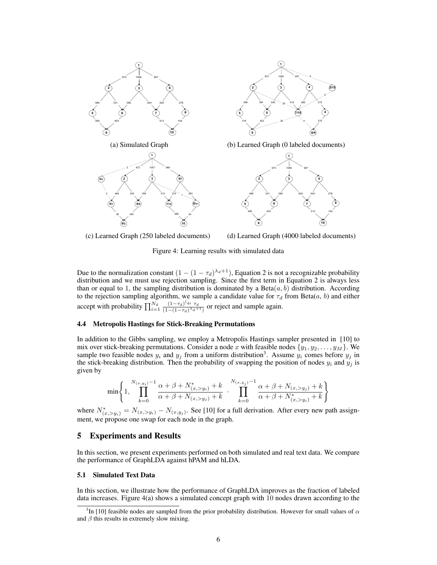





Figure 4: Learning results with simulated data

Due to the normalization constant  $(1 - (1 - \tau_d)^{\lambda_d+1})$ , Equation 2 is not a recognizable probability distribution and we must use rejection sampling. Since the first term in Equation 2 is always less than or equal to 1, the sampling distribution is dominated by a Beta $(a, b)$  distribution. According to the rejection sampling algorithm, we sample a candidate value for  $\tau_d$  from Beta(a, b) and either accept with probability  $\prod_{i=1}^{N_d} \frac{(1-\tau_d)^{l_{di}} \tau_d}{(1-(1-\tau_d)^{\lambda_d}}$  $\frac{(1-\tau_d)^{a}i\tau_d}{(1-(1-\tau_d)^{\lambda_d+1})}$  or reject and sample again.

#### 4.4 Metropolis Hastings for Stick-Breaking Permutations

In addition to the Gibbs sampling, we employ a Metropolis Hastings sampler presented in [10] to mix over stick-breaking permutations. Consider a node x with feasible nodes  $\{y_1, y_2, \ldots, y_M\}$ . We sample two feasible nodes  $y_i$  and  $y_j$  from a uniform distribution<sup>3</sup>. Assume  $y_i$  comes before  $y_j$  in the stick-breaking distribution. Then the probability of swapping the position of nodes  $y_i$  and  $y_j$  is given by

$$
\min\left\{1,\prod_{k=0}^{N_{(x,y_i)}-1}\frac{\alpha+\beta+N^*_{(x,>y_i)}+k}{\alpha+\beta+N_{(x,>y_j)}+k}\cdot\prod_{k=0}^{N_{(x,y_j)}-1}\frac{\alpha+\beta+N_{(x,>y_j)}+k}{\alpha+\beta+N^*_{(x,>y_i)}+k}\right\}
$$

where  $N^*_{(x, > y_i)} = N_{(x, > y_i)} - N_{(x, y_j)}$ . See [10] for a full derivation. After every new path assignment, we propose one swap for each node in the graph.

## 5 Experiments and Results

In this section, we present experiments performed on both simulated and real text data. We compare the performance of GraphLDA against hPAM and hLDA.

#### 5.1 Simulated Text Data

In this section, we illustrate how the performance of GraphLDA improves as the fraction of labeled data increases. Figure 4(a) shows a simulated concept graph with 10 nodes drawn according to the

<sup>&</sup>lt;sup>3</sup>In [10] feasible nodes are sampled from the prior probability distribution. However for small values of  $\alpha$ and  $\beta$  this results in extremely slow mixing.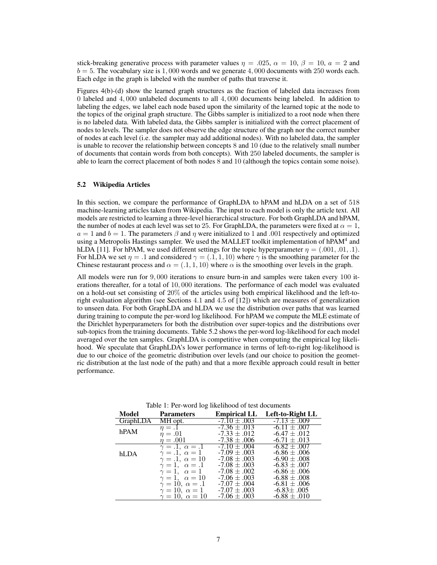stick-breaking generative process with parameter values  $\eta = .025$ ,  $\alpha = 10$ ,  $\beta = 10$ ,  $a = 2$  and  $b = 5$ . The vocabulary size is 1,000 words and we generate 4,000 documents with 250 words each. Each edge in the graph is labeled with the number of paths that traverse it.

Figures 4(b)-(d) show the learned graph structures as the fraction of labeled data increases from 0 labeled and 4, 000 unlabeled documents to all 4, 000 documents being labeled. In addition to labeling the edges, we label each node based upon the similarity of the learned topic at the node to the topics of the original graph structure. The Gibbs sampler is initialized to a root node when there is no labeled data. With labeled data, the Gibbs sampler is initialized with the correct placement of nodes to levels. The sampler does not observe the edge structure of the graph nor the correct number of nodes at each level (i.e. the sampler may add additional nodes). With no labeled data, the sampler is unable to recover the relationship between concepts 8 and 10 (due to the relatively small number of documents that contain words from both concepts). With 250 labeled documents, the sampler is able to learn the correct placement of both nodes 8 and 10 (although the topics contain some noise).

#### 5.2 Wikipedia Articles

In this section, we compare the performance of GraphLDA to hPAM and hLDA on a set of 518 machine-learning articles taken from Wikipedia. The input to each model is only the article text. All models are restricted to learning a three-level hierarchical structure. For both GraphLDA and hPAM, the number of nodes at each level was set to 25. For GraphLDA, the parameters were fixed at  $\alpha = 1$ ,  $a = 1$  and  $b = 1$ . The parameters  $\beta$  and  $\eta$  were initialized to 1 and .001 respectively and optimized using a Metropolis Hastings sampler. We used the MALLET toolkit implementation of hPAM<sup>4</sup> and hLDA [11]. For hPAM, we used different settings for the topic hyperparameter  $\eta = (0.001, 0.01, 1)$ . For hLDA we set  $\eta = .1$  and considered  $\gamma = (.1, 1, 10)$  where  $\gamma$  is the smoothing parameter for the Chinese restaurant process and  $\alpha = (0.1, 1, 10)$  where  $\alpha$  is the smoothing over levels in the graph.

All models were run for 9, 000 iterations to ensure burn-in and samples were taken every 100 iterations thereafter, for a total of 10, 000 iterations. The performance of each model was evaluated on a hold-out set consisting of 20% of the articles using both empirical likelihood and the left-toright evaluation algorithm (see Sections 4.1 and 4.5 of [12]) which are measures of generalization to unseen data. For both GraphLDA and hLDA we use the distribution over paths that was learned during training to compute the per-word log likelihood. For hPAM we compute the MLE estimate of the Dirichlet hyperparameters for both the distribution over super-topics and the distributions over sub-topics from the training documents. Table 5.2 shows the per-word log-likelihood for each model averaged over the ten samples. GraphLDA is competitive when computing the empirical log likelihood. We speculate that GraphLDA's lower performance in terms of left-to-right log-likelihood is due to our choice of the geometric distribution over levels (and our choice to position the geometric distribution at the last node of the path) and that a more flexible approach could result in better performance.

| Model    | <b>Parameters</b>            | <b>Empirical LL</b> | Left-to-Right LL |
|----------|------------------------------|---------------------|------------------|
| GraphLDA | MH opt.                      | $-7.10 \pm .003$    | $-7.13 \pm .009$ |
| hPAM     | $\eta = .1$                  | $-7.36 \pm .013$    | $-6.11 \pm .007$ |
|          | $n=.01$                      | $-7.33 \pm .012$    | $-6.47 \pm .012$ |
|          | $n=.001$                     | $-7.38 \pm .006$    | $-6.71 \pm .013$ |
|          | $\gamma = .1, \alpha = .1$   | $-7.10 \pm .004$    | $-6.82 \pm .007$ |
| hLDA     | $\gamma = .1, \alpha = 1$    | $-7.09 \pm .003$    | $-6.86 \pm .006$ |
|          | $\gamma = .1, \ \alpha = 10$ | $-7.08 \pm .003$    | $-6.90 \pm .008$ |
|          | $\gamma=1, \alpha=.1$        | $-7.08 \pm .003$    | $-6.83 \pm .007$ |
|          | $\gamma=1, \alpha=1$         | $-7.08 \pm .002$    | $-6.86 \pm .006$ |
|          | $\gamma = 1, \alpha = 10$    | $-7.06 \pm .003$    | $-6.88 \pm .008$ |
|          | $\gamma=10, \alpha=.1$       | $-7.07 \pm .004$    | $-6.81 \pm .006$ |
|          | $\gamma=10, \alpha=1$        | $-7.07 \pm .003$    | $-6.83 \pm .005$ |
|          | $\gamma=10$ , $\alpha=10$    | $-7.06 \pm .003$    | $-6.88 \pm .010$ |

Table 1: Per-word log likelihood of test documents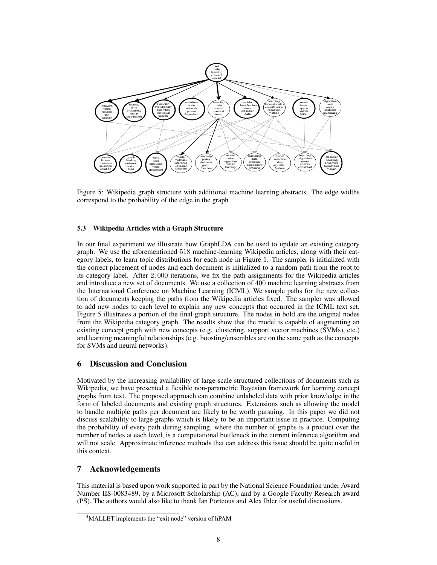

Figure 5: Wikipedia graph structure with additional machine learning abstracts. The edge widths correspond to the probability of the edge in the graph

## 5.3 Wikipedia Articles with a Graph Structure

In our final experiment we illustrate how GraphLDA can be used to update an existing category graph. We use the aforementioned 518 machine-learning Wikipedia articles, along with their category labels, to learn topic distributions for each node in Figure 1. The sampler is initialized with the correct placement of nodes and each document is initialized to a random path from the root to its category label. After 2, 000 iterations, we fix the path assignments for the Wikipedia articles and introduce a new set of documents. We use a collection of 400 machine learning abstracts from the International Conference on Machine Learning (ICML). We sample paths for the new collection of documents keeping the paths from the Wikipedia articles fixed. The sampler was allowed to add new nodes to each level to explain any new concepts that occurred in the ICML text set. Figure 5 illustrates a portion of the final graph structure. The nodes in bold are the original nodes from the Wikipedia category graph. The results show that the model is capable of augmenting an existing concept graph with new concepts (e.g. clustering, support vector machines (SVMs), etc.) and learning meaningful relationships (e.g. boosting/ensembles are on the same path as the concepts for SVMs and neural networks).

## 6 Discussion and Conclusion

Motivated by the increasing availability of large-scale structured collections of documents such as Wikipedia, we have presented a flexible non-parametric Bayesian framework for learning concept graphs from text. The proposed approach can combine unlabeled data with prior knowledge in the form of labeled documents and existing graph structures. Extensions such as allowing the model to handle multiple paths per document are likely to be worth pursuing. In this paper we did not discuss scalability to large graphs which is likely to be an important issue in practice. Computing the probability of every path during sampling, where the number of graphs is a product over the number of nodes at each level, is a computational bottleneck in the current inference algorithm and will not scale. Approximate inference methods that can address this issue should be quite useful in this context.

## 7 Acknowledgements

This material is based upon work supported in part by the National Science Foundation under Award Number IIS-0083489, by a Microsoft Scholarship (AC), and by a Google Faculty Research award (PS). The authors would also like to thank Ian Porteous and Alex Ihler for useful discussions.

<sup>&</sup>lt;sup>4</sup>MALLET implements the "exit node" version of hPAM